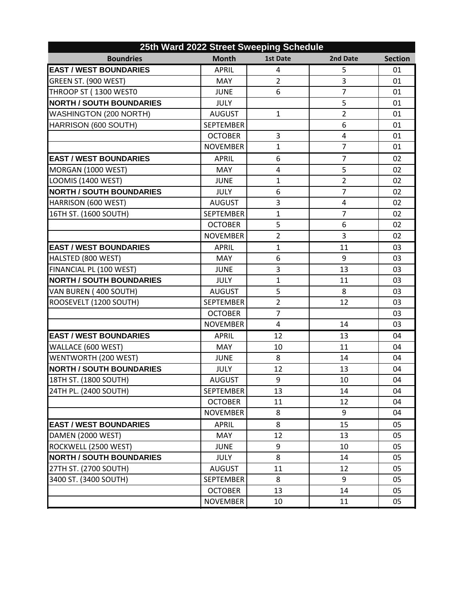| 25th Ward 2022 Street Sweeping Schedule |                  |                 |                |                |  |  |  |
|-----------------------------------------|------------------|-----------------|----------------|----------------|--|--|--|
| <b>Boundries</b>                        | <b>Month</b>     | <b>1st Date</b> | 2nd Date       | <b>Section</b> |  |  |  |
| <b>EAST / WEST BOUNDARIES</b>           | <b>APRIL</b>     | 4               | 5              | 01             |  |  |  |
| I<br>GREEN ST. (900 WEST)               | <b>MAY</b>       | $\overline{2}$  | 3              | 01             |  |  |  |
| THROOP ST (1300 WEST0                   | <b>JUNE</b>      | 6               | $\overline{7}$ | 01             |  |  |  |
| <b>NORTH / SOUTH BOUNDARIES</b>         | <b>JULY</b>      |                 | 5              | 01             |  |  |  |
| <b>WASHINGTON (200 NORTH)</b>           | <b>AUGUST</b>    | $\mathbf{1}$    | $\overline{2}$ | 01             |  |  |  |
| HARRISON (600 SOUTH)                    | <b>SEPTEMBER</b> |                 | 6              | 01             |  |  |  |
|                                         | <b>OCTOBER</b>   | 3               | 4              | 01             |  |  |  |
|                                         | <b>NOVEMBER</b>  | $\mathbf{1}$    | $\overline{7}$ | 01             |  |  |  |
| <b>EAST / WEST BOUNDARIES</b>           | <b>APRIL</b>     | 6               | $\overline{7}$ | 02             |  |  |  |
| MORGAN (1000 WEST)                      | <b>MAY</b>       | 4               | 5              | 02             |  |  |  |
| LOOMIS (1400 WEST)                      | <b>JUNE</b>      | 1               | $\overline{2}$ | 02             |  |  |  |
| <b>NORTH / SOUTH BOUNDARIES</b>         | <b>JULY</b>      | 6               | $\overline{7}$ | 02             |  |  |  |
| HARRISON (600 WEST)                     | <b>AUGUST</b>    | 3               | 4              | 02             |  |  |  |
| 16TH ST. (1600 SOUTH)                   | <b>SEPTEMBER</b> | $\mathbf{1}$    | 7              | 02             |  |  |  |
|                                         | <b>OCTOBER</b>   | 5               | 6              | 02             |  |  |  |
|                                         | <b>NOVEMBER</b>  | $\overline{2}$  | 3              | 02             |  |  |  |
| <b>EAST / WEST BOUNDARIES</b>           | <b>APRIL</b>     | $\mathbf{1}$    | 11             | 03             |  |  |  |
| HALSTED (800 WEST)                      | <b>MAY</b>       | 6               | 9              | 03             |  |  |  |
| FINANCIAL PL (100 WEST)                 | <b>JUNE</b>      | 3               | 13             | 03             |  |  |  |
| <b>NORTH / SOUTH BOUNDARIES</b>         | <b>JULY</b>      | $\mathbf{1}$    | 11             | 03             |  |  |  |
| VAN BUREN (400 SOUTH)                   | <b>AUGUST</b>    | 5               | 8              | 03             |  |  |  |
| ROOSEVELT (1200 SOUTH)                  | <b>SEPTEMBER</b> | $\overline{2}$  | 12             | 03             |  |  |  |
|                                         | <b>OCTOBER</b>   | $\overline{7}$  |                | 03             |  |  |  |
|                                         | <b>NOVEMBER</b>  | 4               | 14             | 03             |  |  |  |
| <b>EAST / WEST BOUNDARIES</b>           | <b>APRIL</b>     | 12              | 13             | 04             |  |  |  |
| WALLACE (600 WEST)                      | <b>MAY</b>       | 10              | 11             | 04             |  |  |  |
| WENTWORTH (200 WEST)                    | <b>JUNE</b>      | 8               | 14             | 04             |  |  |  |
| <b>NORTH / SOUTH BOUNDARIES</b>         | <b>JULY</b>      | 12              | 13             | 04             |  |  |  |
| 18TH ST. (1800 SOUTH)                   | <b>AUGUST</b>    | 9               | 10             | 04             |  |  |  |
| 24TH PL. (2400 SOUTH)                   | SEPTEMBER        | 13              | 14             | 04             |  |  |  |
|                                         | <b>OCTOBER</b>   | 11              | 12             | 04             |  |  |  |
|                                         | <b>NOVEMBER</b>  | 8               | 9              | 04             |  |  |  |
| <b>EAST / WEST BOUNDARIES</b>           | <b>APRIL</b>     | 8               | 15             | 05             |  |  |  |
| DAMEN (2000 WEST)                       | <b>MAY</b>       | 12              | 13             | 05             |  |  |  |
| ROCKWELL (2500 WEST)                    | <b>JUNE</b>      | 9               | 10             | 05             |  |  |  |
| <b>NORTH / SOUTH BOUNDARIES</b>         | <b>JULY</b>      | 8               | 14             | 05             |  |  |  |
| 27TH ST. (2700 SOUTH)                   | <b>AUGUST</b>    | 11              | 12             | 05             |  |  |  |
| 3400 ST. (3400 SOUTH)                   | <b>SEPTEMBER</b> | 8               | 9              | 05             |  |  |  |
|                                         | <b>OCTOBER</b>   | 13              | 14             | 05             |  |  |  |
|                                         | <b>NOVEMBER</b>  | 10              | 11             | 05             |  |  |  |